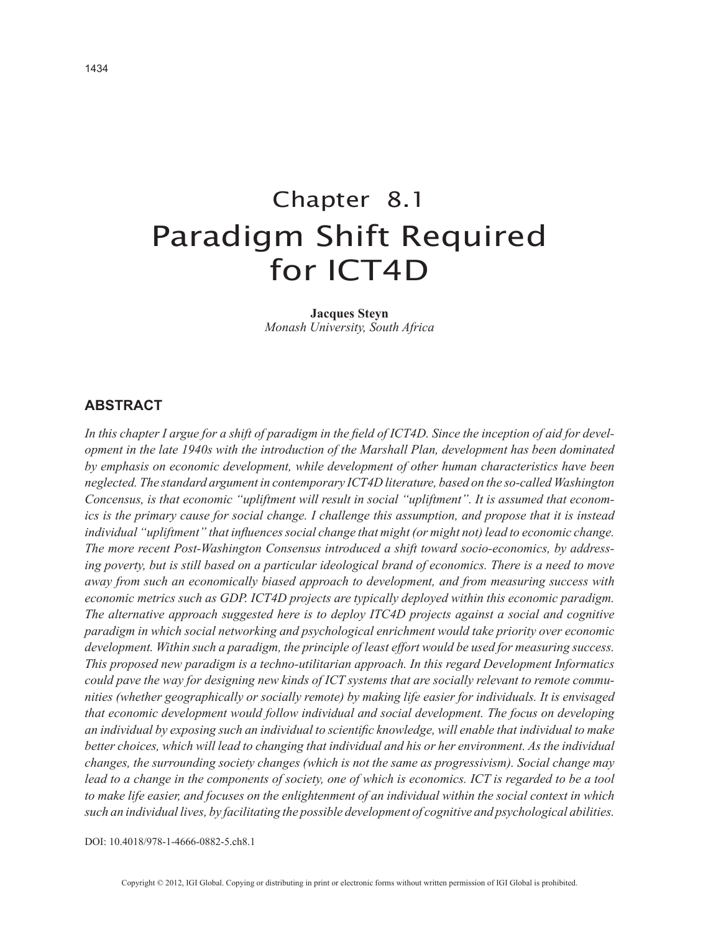# Chapter 8.1 Paradigm Shift Required for ICT4D

**Jacques Steyn** *Monash University, South Africa*

### **ABSTRACT**

*In this chapter I argue for a shift of paradigm in the field of ICT4D. Since the inception of aid for development in the late 1940s with the introduction of the Marshall Plan, development has been dominated by emphasis on economic development, while development of other human characteristics have been neglected. The standard argument in contemporary ICT4D literature, based on the so-called Washington Concensus, is that economic "upliftment will result in social "upliftment". It is assumed that economics is the primary cause for social change. I challenge this assumption, and propose that it is instead individual "upliftment" that influences social change that might (or might not) lead to economic change. The more recent Post-Washington Consensus introduced a shift toward socio-economics, by addressing poverty, but is still based on a particular ideological brand of economics. There is a need to move away from such an economically biased approach to development, and from measuring success with economic metrics such as GDP. ICT4D projects are typically deployed within this economic paradigm. The alternative approach suggested here is to deploy ITC4D projects against a social and cognitive paradigm in which social networking and psychological enrichment would take priority over economic development. Within such a paradigm, the principle of least effort would be used for measuring success. This proposed new paradigm is a techno-utilitarian approach. In this regard Development Informatics could pave the way for designing new kinds of ICT systems that are socially relevant to remote communities (whether geographically or socially remote) by making life easier for individuals. It is envisaged that economic development would follow individual and social development. The focus on developing an individual by exposing such an individual to scientific knowledge, will enable that individual to make better choices, which will lead to changing that individual and his or her environment. As the individual changes, the surrounding society changes (which is not the same as progressivism). Social change may*  lead to a change in the components of society, one of which is economics. ICT is regarded to be a tool *to make life easier, and focuses on the enlightenment of an individual within the social context in which such an individual lives, by facilitating the possible development of cognitive and psychological abilities.*

DOI: 10.4018/978-1-4666-0882-5.ch8.1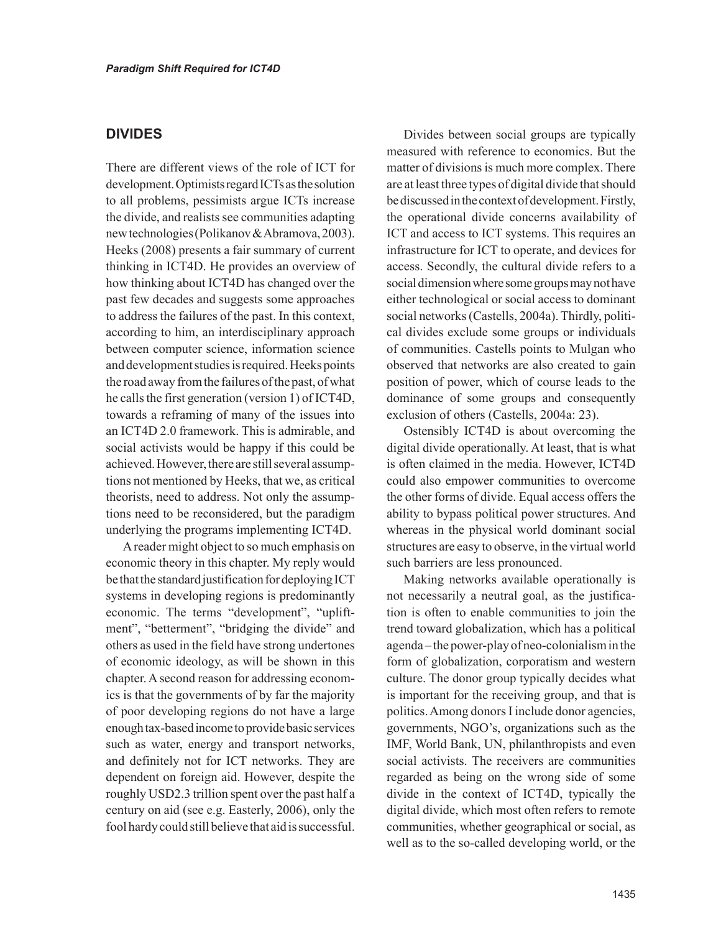## **DIVIDES**

There are different views of the role of ICT for development. Optimists regard ICTs as the solution to all problems, pessimists argue ICTs increase the divide, and realists see communities adapting new technologies (Polikanov & Abramova, 2003). Heeks (2008) presents a fair summary of current thinking in ICT4D. He provides an overview of how thinking about ICT4D has changed over the past few decades and suggests some approaches to address the failures of the past. In this context, according to him, an interdisciplinary approach between computer science, information science and development studies is required. Heeks points the road away from the failures of the past, of what he calls the first generation (version 1) of ICT4D, towards a reframing of many of the issues into an ICT4D 2.0 framework. This is admirable, and social activists would be happy if this could be achieved. However, there are still several assumptions not mentioned by Heeks, that we, as critical theorists, need to address. Not only the assumptions need to be reconsidered, but the paradigm underlying the programs implementing ICT4D.

A reader might object to so much emphasis on economic theory in this chapter. My reply would be that the standard justification for deploying ICT systems in developing regions is predominantly economic. The terms "development", "upliftment", "betterment", "bridging the divide" and others as used in the field have strong undertones of economic ideology, as will be shown in this chapter. A second reason for addressing economics is that the governments of by far the majority of poor developing regions do not have a large enough tax-based income to provide basic services such as water, energy and transport networks, and definitely not for ICT networks. They are dependent on foreign aid. However, despite the roughly USD2.3 trillion spent over the past half a century on aid (see e.g. Easterly, 2006), only the fool hardy could still believe that aid is successful.

Divides between social groups are typically measured with reference to economics. But the matter of divisions is much more complex. There are at least three types of digital divide that should be discussed in the context of development. Firstly, the operational divide concerns availability of ICT and access to ICT systems. This requires an infrastructure for ICT to operate, and devices for access. Secondly, the cultural divide refers to a social dimension where some groups may not have either technological or social access to dominant social networks (Castells, 2004a). Thirdly, political divides exclude some groups or individuals of communities. Castells points to Mulgan who observed that networks are also created to gain position of power, which of course leads to the dominance of some groups and consequently exclusion of others (Castells, 2004a: 23).

Ostensibly ICT4D is about overcoming the digital divide operationally. At least, that is what is often claimed in the media. However, ICT4D could also empower communities to overcome the other forms of divide. Equal access offers the ability to bypass political power structures. And whereas in the physical world dominant social structures are easy to observe, in the virtual world such barriers are less pronounced.

Making networks available operationally is not necessarily a neutral goal, as the justification is often to enable communities to join the trend toward globalization, which has a political agenda – the power-play of neo-colonialism in the form of globalization, corporatism and western culture. The donor group typically decides what is important for the receiving group, and that is politics. Among donors I include donor agencies, governments, NGO's, organizations such as the IMF, World Bank, UN, philanthropists and even social activists. The receivers are communities regarded as being on the wrong side of some divide in the context of ICT4D, typically the digital divide, which most often refers to remote communities, whether geographical or social, as well as to the so-called developing world, or the